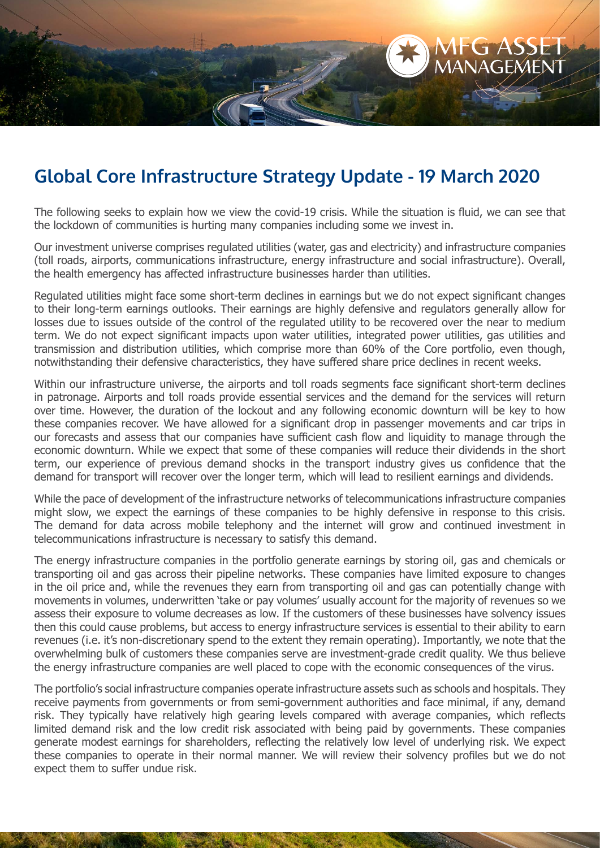

## **Global Core Infrastructure Strategy Update - 19 March 2020**

The following seeks to explain how we view the covid-19 crisis. While the situation is fluid, we can see that the lockdown of communities is hurting many companies including some we invest in.

Our investment universe comprises regulated utilities (water, gas and electricity) and infrastructure companies (toll roads, airports, communications infrastructure, energy infrastructure and social infrastructure). Overall, the health emergency has affected infrastructure businesses harder than utilities.

Regulated utilities might face some short-term declines in earnings but we do not expect significant changes to their long-term earnings outlooks. Their earnings are highly defensive and regulators generally allow for losses due to issues outside of the control of the regulated utility to be recovered over the near to medium term. We do not expect significant impacts upon water utilities, integrated power utilities, gas utilities and transmission and distribution utilities, which comprise more than 60% of the Core portfolio, even though, notwithstanding their defensive characteristics, they have suffered share price declines in recent weeks.

Within our infrastructure universe, the airports and toll roads segments face significant short-term declines in patronage. Airports and toll roads provide essential services and the demand for the services will return over time. However, the duration of the lockout and any following economic downturn will be key to how these companies recover. We have allowed for a significant drop in passenger movements and car trips in our forecasts and assess that our companies have sufficient cash flow and liquidity to manage through the economic downturn. While we expect that some of these companies will reduce their dividends in the short term, our experience of previous demand shocks in the transport industry gives us confidence that the demand for transport will recover over the longer term, which will lead to resilient earnings and dividends.

While the pace of development of the infrastructure networks of telecommunications infrastructure companies might slow, we expect the earnings of these companies to be highly defensive in response to this crisis. The demand for data across mobile telephony and the internet will grow and continued investment in telecommunications infrastructure is necessary to satisfy this demand.

The energy infrastructure companies in the portfolio generate earnings by storing oil, gas and chemicals or transporting oil and gas across their pipeline networks. These companies have limited exposure to changes in the oil price and, while the revenues they earn from transporting oil and gas can potentially change with movements in volumes, underwritten 'take or pay volumes' usually account for the majority of revenues so we assess their exposure to volume decreases as low. If the customers of these businesses have solvency issues then this could cause problems, but access to energy infrastructure services is essential to their ability to earn revenues (i.e. it's non-discretionary spend to the extent they remain operating). Importantly, we note that the overwhelming bulk of customers these companies serve are investment-grade credit quality. We thus believe the energy infrastructure companies are well placed to cope with the economic consequences of the virus.

The portfolio's social infrastructure companies operate infrastructure assets such as schools and hospitals. They receive payments from governments or from semi-government authorities and face minimal, if any, demand risk. They typically have relatively high gearing levels compared with average companies, which reflects limited demand risk and the low credit risk associated with being paid by governments. These companies generate modest earnings for shareholders, reflecting the relatively low level of underlying risk. We expect these companies to operate in their normal manner. We will review their solvency profiles but we do not expect them to suffer undue risk.